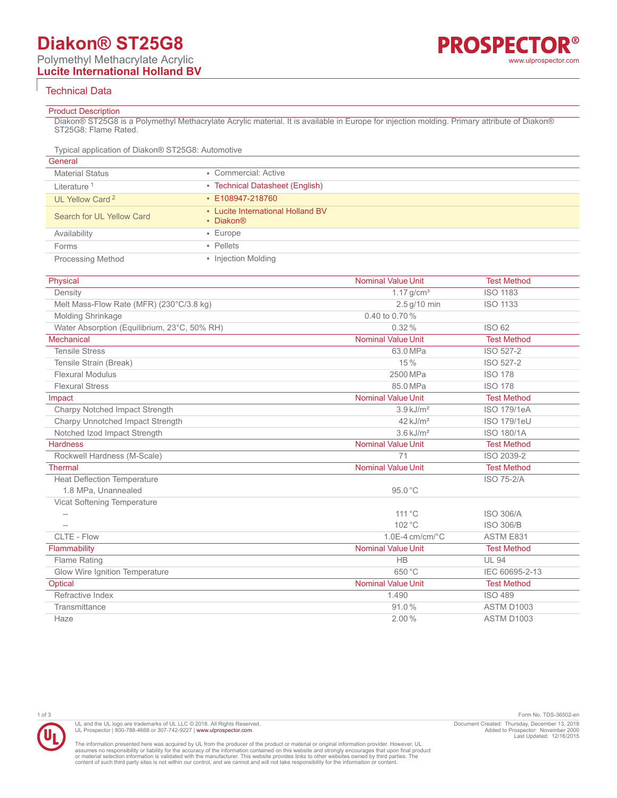# **Diakon® ST25G8**

## Technical Data

#### Product Description

Diakon® ST25G8 is a Polymethyl Methacrylate Acrylic material. It is available in Europe for injection molding. Primary attribute of Diakon® ST25G8: Flame Rated.

Typical application of Diakon® ST25G8: Automotive

| General                     |                                                |
|-----------------------------|------------------------------------------------|
| <b>Material Status</b>      | • Commercial: Active                           |
| Literature <sup>1</sup>     | • Technical Datasheet (English)                |
| UL Yellow Card <sup>2</sup> | • E108947-218760                               |
| Search for UL Yellow Card   | • Lucite International Holland BV<br>• Diakon® |
| Availability                | $\cdot$ Europe                                 |
| Forms                       | • Pellets                                      |
| <b>Processing Method</b>    | • Injection Molding                            |

| Physical                                     | <b>Nominal Value Unit</b> | <b>Test Method</b> |
|----------------------------------------------|---------------------------|--------------------|
| Density                                      | $1.17$ g/cm <sup>3</sup>  | <b>ISO 1183</b>    |
| Melt Mass-Flow Rate (MFR) (230°C/3.8 kg)     | 2.5 g/10 min              | <b>ISO 1133</b>    |
| Molding Shrinkage                            | 0.40 to 0.70%             |                    |
| Water Absorption (Equilibrium, 23°C, 50% RH) | $0.32\%$                  | ISO 62             |
| Mechanical                                   | <b>Nominal Value Unit</b> | <b>Test Method</b> |
| <b>Tensile Stress</b>                        | 63.0 MPa                  | ISO 527-2          |
| Tensile Strain (Break)                       | 15%                       | ISO 527-2          |
| <b>Flexural Modulus</b>                      | 2500 MPa                  | <b>ISO 178</b>     |
| <b>Flexural Stress</b>                       | 85.0 MPa                  | <b>ISO 178</b>     |
| Impact                                       | <b>Nominal Value Unit</b> | <b>Test Method</b> |
| Charpy Notched Impact Strength               | $3.9$ kJ/m <sup>2</sup>   | <b>ISO 179/1eA</b> |
| Charpy Unnotched Impact Strength             | $42$ kJ/m <sup>2</sup>    | ISO 179/1eU        |
| Notched Izod Impact Strength                 | $3.6$ kJ/m <sup>2</sup>   | <b>ISO 180/1A</b>  |
| <b>Hardness</b>                              | <b>Nominal Value Unit</b> | <b>Test Method</b> |
| Rockwell Hardness (M-Scale)                  | 71                        | ISO 2039-2         |
| <b>Thermal</b>                               | <b>Nominal Value Unit</b> | <b>Test Method</b> |
| <b>Heat Deflection Temperature</b>           |                           | <b>ISO 75-2/A</b>  |
| 1.8 MPa, Unannealed                          | 95.0 °C                   |                    |
| Vicat Softening Temperature                  |                           |                    |
|                                              | 111 °C                    | <b>ISO 306/A</b>   |
|                                              | $102^{\circ}$ C           | <b>ISO 306/B</b>   |
| CLTE - Flow                                  | $1.0E-4$ cm/cm/ $°C$      | ASTM E831          |
| Flammability                                 | <b>Nominal Value Unit</b> | <b>Test Method</b> |
| Flame Rating                                 | <b>HB</b>                 | <b>UL 94</b>       |
| Glow Wire Ignition Temperature               | 650 °C                    | IEC 60695-2-13     |
| Optical                                      | <b>Nominal Value Unit</b> | <b>Test Method</b> |
| Refractive Index                             | 1.490                     | <b>ISO 489</b>     |
| Transmittance                                | 91.0%                     | <b>ASTM D1003</b>  |
| Haze                                         | 2.00%                     | ASTM D1003         |
|                                              |                           |                    |

UL and the UL logo are trademarks of UL LLC © 2018. All Rights Reserved. UL Prospector | 800-788-4668 or 307-742-9227 | [www.ulprospector.com](http://www.ulprospector.com).

1 of 3 Form No. TDS-36502-en Document Created: Thursday, December 13, 2018 Added to Prospector: November 2000 Last Updated: 12/16/2015

The information presented here was acquired by UL from the producer of the product or material or original information provider. However, UL<br>assumes no responsibility or liability for the accuracy of the information contai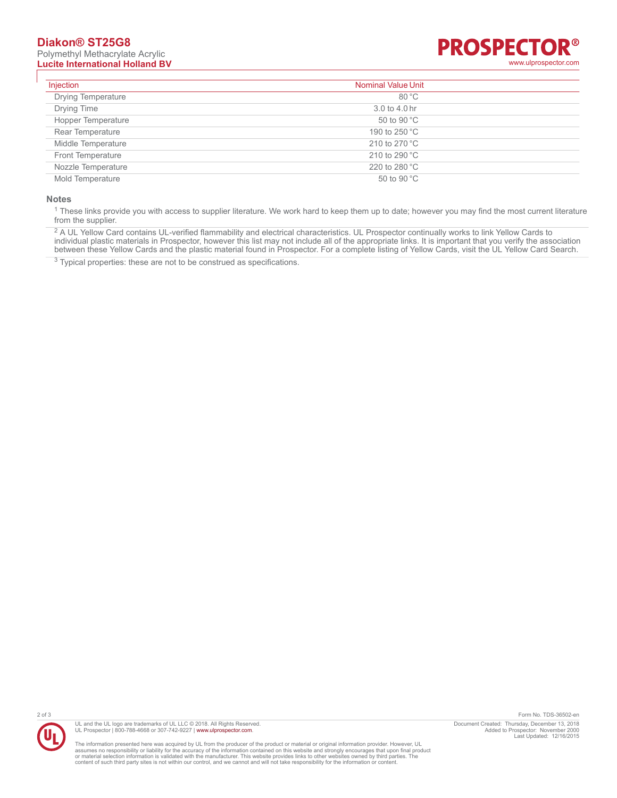# **Diakon® ST25G8**

Polymethyl Methacrylate Acrylic



| Injection                 | <b>Nominal Value Unit</b> |  |
|---------------------------|---------------------------|--|
| <b>Drying Temperature</b> | $80^{\circ}$ C            |  |
| Drying Time               | 3.0 to 4.0 hr             |  |
| Hopper Temperature        | 50 to 90 °C               |  |
| Rear Temperature          | 190 to 250 °C             |  |
| Middle Temperature        | 210 to 270 $^{\circ}$ C   |  |
| Front Temperature         | 210 to 290 °C             |  |
| Nozzle Temperature        | 220 to 280 °C             |  |
| Mold Temperature          | 50 to 90 °C               |  |

#### **Notes**

<sup>1</sup> These links provide you with access to supplier literature. We work hard to keep them up to date; however you may find the most current literature from the supplier.

<sup>2</sup> A UL Yellow Card contains UL-verified flammability and electrical characteristics. UL Prospector continually works to link Yellow Cards to individual plastic materials in Prospector, however this list may not include all of the appropriate links. It is important that you verify the association between these Yellow Cards and the plastic material found in Prospector. For a complete listing of Yellow Cards, visit the UL Yellow Card Search.

<sup>3</sup> Typical properties: these are not to be construed as specifications.





The information presented here was acquired by UL from the producer of the product or material or original information provider. However, UL<br>assumes no responsibility or liability for the accuracy of the information contai

2 of 3 Form No. TDS-36502-en Document Created: Thursday, December 13, 2018 Added to Prospector: November 2000 Last Updated: 12/16/2015